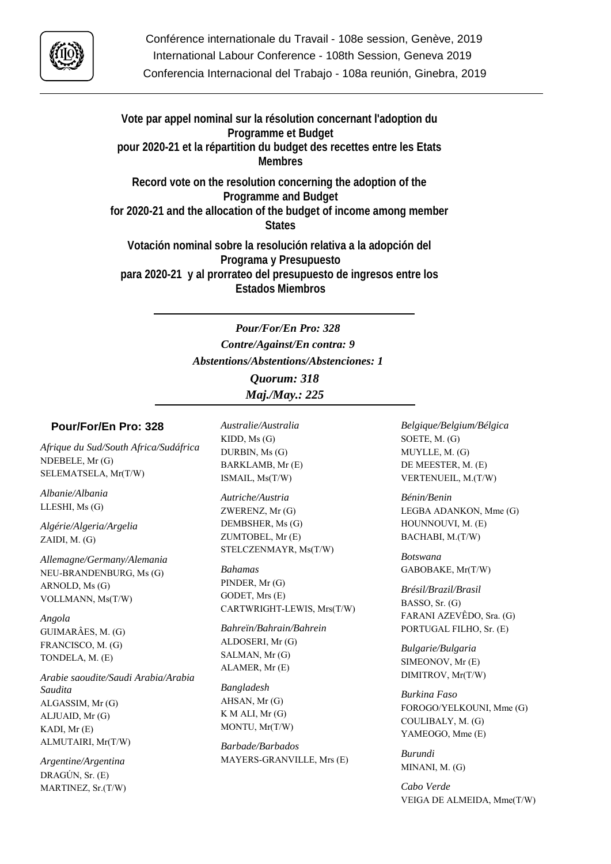

**Vote par appel nominal sur la résolution concernant l'adoption du Programme et Budget pour 2020-21 et la répartition du budget des recettes entre les Etats Membres**

**Record vote on the resolution concerning the adoption of the Programme and Budget for 2020-21 and the allocation of the budget of income among member States**

**Votación nominal sobre la resolución relativa a la adopción del Programa y Presupuesto para 2020-21 y al prorrateo del presupuesto de ingresos entre los Estados Miembros**

> *Pour/For/En Pro: 328 Contre/Against/En contra: 9 Abstentions/Abstentions/Abstenciones: 1*

*Quorum: 318 Maj./May.: 225*

## **Pour/For/En Pro: 328**

*Afrique du Sud/South Africa/Sudáfrica* NDEBELE, Mr (G) SELEMATSELA, Mr(T/W)

*Albanie/Albania* LLESHI, Ms (G)

*Algérie/Algeria/Argelia* ZAIDI, M. (G)

*Allemagne/Germany/Alemania* NEU-BRANDENBURG, Ms (G) ARNOLD, Ms (G) VOLLMANN, Ms(T/W)

*Angola* GUIMARÂES, M. (G) FRANCISCO, M. (G) TONDELA, M. (E)

*Arabie saoudite/Saudi Arabia/Arabia Saudita* ALGASSIM, Mr (G) ALJUAID, Mr (G) KADI, Mr (E) ALMUTAIRI, Mr(T/W)

*Argentine/Argentina* DRAGÚN, Sr. (E) MARTINEZ, Sr.(T/W) *Australie/Australia* KIDD, Ms (G) DURBIN, Ms (G) BARKLAMB, Mr (E) ISMAIL, Ms(T/W)

*Autriche/Austria* ZWERENZ, Mr (G) DEMBSHER, Ms (G) ZUMTOBEL, Mr (E) STELCZENMAYR, Ms(T/W)

*Bahamas* PINDER, Mr (G) GODET, Mrs (E) CARTWRIGHT-LEWIS, Mrs(T/W)

*Bahreïn/Bahrain/Bahrein* ALDOSERI, Mr (G) SALMAN, Mr (G) ALAMER, Mr (E)

*Bangladesh* AHSAN, Mr (G) K M ALI, Mr (G) MONTU, Mr(T/W)

*Barbade/Barbados* MAYERS-GRANVILLE, Mrs (E) *Belgique/Belgium/Bélgica* SOETE, M. (G) MUYLLE, M. (G) DE MEESTER, M. (E) VERTENUEIL, M.(T/W)

*Bénin/Benin* LEGBA ADANKON, Mme (G) HOUNNOUVI, M. (E) BACHABI, M.(T/W)

*Botswana* GABOBAKE, Mr(T/W)

*Brésil/Brazil/Brasil* BASSO, Sr. (G) FARANI AZEVÊDO, Sra. (G) PORTUGAL FILHO, Sr. (E)

*Bulgarie/Bulgaria* SIMEONOV, Mr (E) DIMITROV, Mr(T/W)

*Burkina Faso* FOROGO/YELKOUNI, Mme (G) COULIBALY, M. (G) YAMEOGO, Mme (E)

*Burundi* MINANI, M. (G)

*Cabo Verde* VEIGA DE ALMEIDA, Mme(T/W)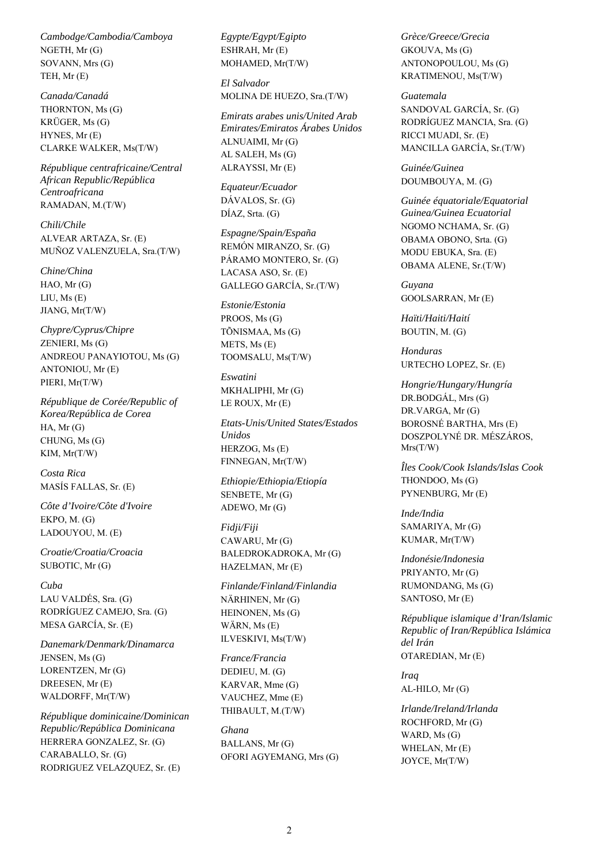*Cambodge/Cambodia/Camboya* NGETH, Mr (G) SOVANN, Mrs (G) TEH, Mr (E)

*Canada/Canadá* THORNTON, Ms (G) KRÜGER, Ms (G) HYNES, Mr (E) CLARKE WALKER, Ms(T/W)

*République centrafricaine/Central African Republic/República Centroafricana* RAMADAN, M.(T/W)

*Chili/Chile* ALVEAR ARTAZA, Sr. (E) MUÑOZ VALENZUELA, Sra.(T/W)

*Chine/China* HAO, Mr (G) LIU, Ms (E) JIANG, Mr(T/W)

*Chypre/Cyprus/Chipre* ZENIERI, Ms (G) ANDREOU PANAYIOTOU, Ms (G) ANTONIOU, Mr (E) PIERI, Mr(T/W)

*République de Corée/Republic of Korea/República de Corea* HA, Mr (G) CHUNG, Ms (G) KIM, Mr(T/W)

*Costa Rica* MASÍS FALLAS, Sr. (E)

*Côte d'Ivoire/Côte d'Ivoire* EKPO, M. (G) LADOUYOU, M. (E)

*Croatie/Croatia/Croacia* SUBOTIC, Mr (G)

*Cuba* LAU VALDÉS, Sra. (G) RODRÍGUEZ CAMEJO, Sra. (G) MESA GARCÍA, Sr. (E)

*Danemark/Denmark/Dinamarca* JENSEN, Ms (G) LORENTZEN, Mr (G) DREESEN, Mr (E) WALDORFF, Mr(T/W)

*République dominicaine/Dominican Republic/República Dominicana* HERRERA GONZALEZ, Sr. (G) CARABALLO, Sr. (G) RODRIGUEZ VELAZQUEZ, Sr. (E)

*Egypte/Egypt/Egipto* ESHRAH, Mr (E) MOHAMED, Mr(T/W)

*El Salvador* MOLINA DE HUEZO, Sra.(T/W)

*Emirats arabes unis/United Arab Emirates/Emiratos Árabes Unidos* ALNUAIMI, Mr (G) AL SALEH, Ms (G) ALRAYSSI, Mr (E)

*Equateur/Ecuador* DÁVALOS, Sr. (G) DÍAZ, Srta. (G)

*Espagne/Spain/España* REMÓN MIRANZO, Sr. (G) PÁRAMO MONTERO, Sr. (G) LACASA ASO, Sr. (E) GALLEGO GARCÍA, Sr.(T/W)

*Estonie/Estonia* PROOS, Ms (G) TÕNISMAA, Ms (G) METS, Ms (E) TOOMSALU, Ms(T/W)

*Eswatini* MKHALIPHI, Mr (G) LE ROUX, Mr (E)

*Etats-Unis/United States/Estados Unidos* HERZOG, Ms (E) FINNEGAN, Mr(T/W)

*Ethiopie/Ethiopia/Etiopía* SENBETE, Mr (G) ADEWO, Mr (G)

*Fidji/Fiji* CAWARU, Mr (G) BALEDROKADROKA, Mr (G) HAZELMAN, Mr (E)

*Finlande/Finland/Finlandia* NÄRHINEN, Mr (G) HEINONEN, Ms (G) WÄRN, Ms (E) ILVESKIVI, Ms(T/W)

*France/Francia* DEDIEU, M. (G) KARVAR, Mme (G) VAUCHEZ, Mme (E) THIBAULT, M.(T/W)

*Ghana* BALLANS, Mr (G) OFORI AGYEMANG, Mrs (G) *Grèce/Greece/Grecia* GKOUVA, Ms (G) ANTONOPOULOU, Ms (G) KRATIMENOU, Ms(T/W)

*Guatemala*

SANDOVAL GARCÍA, Sr. (G) RODRÍGUEZ MANCIA, Sra. (G) RICCI MUADI, Sr. (E) MANCILLA GARCÍA, Sr.(T/W)

*Guinée/Guinea* DOUMBOUYA, M. (G)

*Guinée équatoriale/Equatorial Guinea/Guinea Ecuatorial* NGOMO NCHAMA, Sr. (G) OBAMA OBONO, Srta. (G) MODU EBUKA, Sra. (E) OBAMA ALENE, Sr.(T/W)

*Guyana* GOOLSARRAN, Mr (E)

*Haïti/Haiti/Haití* BOUTIN, M. (G)

*Honduras* URTECHO LOPEZ, Sr. (E)

*Hongrie/Hungary/Hungría* DR.BODGÁL, Mrs (G) DR.VARGA, Mr (G) BOROSNÉ BARTHA, Mrs (E) DOSZPOLYNÉ DR. MÉSZÁROS, Mrs(T/W)

*Îles Cook/Cook Islands/Islas Cook* THONDOO, Ms (G) PYNENBURG, Mr (E)

*Inde/India* SAMARIYA, Mr (G) KUMAR, Mr(T/W)

*Indonésie/Indonesia* PRIYANTO, Mr (G) RUMONDANG, Ms (G) SANTOSO, Mr (E)

*République islamique d'Iran/Islamic Republic of Iran/República Islámica del Irán* OTAREDIAN, Mr (E)

*Iraq* AL-HILO, Mr (G)

*Irlande/Ireland/Irlanda* ROCHFORD, Mr (G) WARD, Ms (G) WHELAN, Mr (E) JOYCE, Mr(T/W)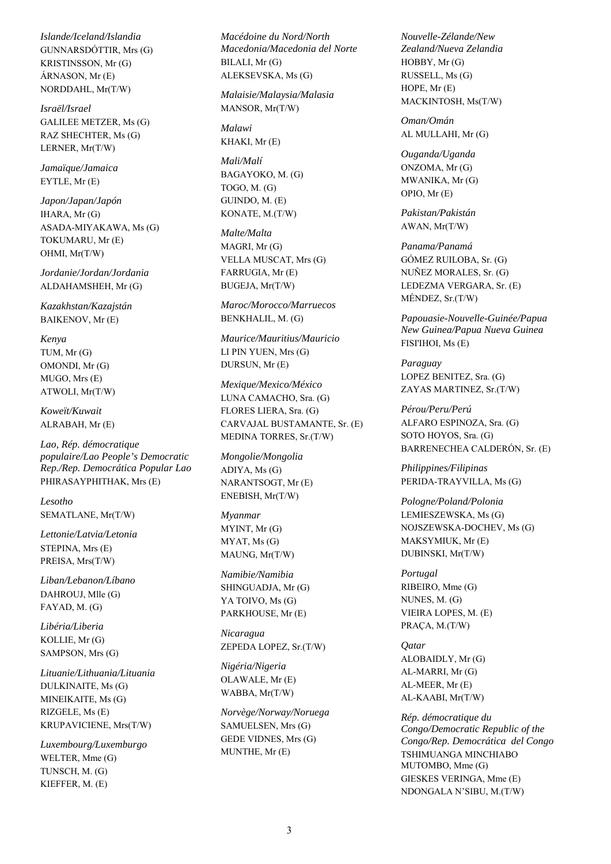*Islande/Iceland/Islandia* GUNNARSDÓTTIR, Mrs (G) KRISTINSSON, Mr (G) ÁRNASON, Mr (E) NORDDAHL, Mr(T/W)

*Israël/Israel* GALILEE METZER, Ms (G) RAZ SHECHTER, Ms (G) LERNER, Mr(T/W)

*Jamaïque/Jamaica* EYTLE, Mr (E)

*Japon/Japan/Japón* IHARA, Mr (G) ASADA-MIYAKAWA, Ms (G) TOKUMARU, Mr (E) OHMI, Mr(T/W)

*Jordanie/Jordan/Jordania* ALDAHAMSHEH, Mr (G)

*Kazakhstan/Kazajstán* BAIKENOV, Mr (E)

*Kenya* TUM, Mr (G) OMONDI, Mr (G) MUGO, Mrs (E) ATWOLI, Mr(T/W)

*Koweït/Kuwait* ALRABAH, Mr (E)

*Lao, Rép. démocratique populaire/Lao People's Democratic Rep./Rep. Democrática Popular Lao* PHIRASAYPHITHAK, Mrs (E)

*Lesotho* SEMATLANE, Mr(T/W)

*Lettonie/Latvia/Letonia* STEPINA, Mrs (E) PREISA, Mrs(T/W)

*Liban/Lebanon/Líbano* DAHROUJ, Mlle (G) FAYAD, M. (G)

*Libéria/Liberia* KOLLIE, Mr (G) SAMPSON, Mrs (G)

*Lituanie/Lithuania/Lituania* DULKINAITE, Ms (G) MINEIKAITE, Ms (G) RIZGELE, Ms (E) KRUPAVICIENE, Mrs(T/W)

*Luxembourg/Luxemburgo* WELTER, Mme (G) TUNSCH, M. (G) KIEFFER, M. (E)

*Macédoine du Nord/North Macedonia/Macedonia del Norte* BILALI, Mr (G) ALEKSEVSKA, Ms (G)

*Malaisie/Malaysia/Malasia* MANSOR, Mr(T/W)

*Malawi* KHAKI, Mr (E)

*Mali/Malí* BAGAYOKO, M. (G) TOGO, M. (G) GUINDO, M. (E) KONATE, M.(T/W)

*Malte/Malta* MAGRI, Mr (G) VELLA MUSCAT, Mrs (G) FARRUGIA, Mr (E) BUGEJA, Mr(T/W)

*Maroc/Morocco/Marruecos* BENKHALIL, M. (G)

*Maurice/Mauritius/Mauricio* LI PIN YUEN, Mrs (G) DURSUN, Mr (E)

*Mexique/Mexico/México* LUNA CAMACHO, Sra. (G) FLORES LIERA, Sra. (G) CARVAJAL BUSTAMANTE, Sr. (E) MEDINA TORRES, Sr.(T/W)

*Mongolie/Mongolia* ADIYA, Ms (G) NARANTSOGT, Mr (E) ENEBISH, Mr(T/W)

*Myanmar* MYINT, Mr (G) MYAT, Ms (G) MAUNG, Mr(T/W)

*Namibie/Namibia* SHINGUADJA, Mr (G) YA TOIVO, Ms (G) PARKHOUSE, Mr (E)

*Nicaragua* ZEPEDA LOPEZ, Sr.(T/W)

*Nigéria/Nigeria* OLAWALE, Mr (E) WABBA, Mr(T/W)

*Norvège/Norway/Noruega* SAMUELSEN, Mrs (G) GEDE VIDNES, Mrs (G) MUNTHE, Mr (E)

*Nouvelle-Zélande/New Zealand/Nueva Zelandia* HOBBY, Mr (G) RUSSELL, Ms (G) HOPE, Mr (E) MACKINTOSH, Ms(T/W)

*Oman/Omán* AL MULLAHI, Mr (G)

*Ouganda/Uganda* ONZOMA, Mr (G) MWANIKA, Mr (G) OPIO, Mr (E)

*Pakistan/Pakistán* AWAN, Mr(T/W)

*Panama/Panamá* GÓMEZ RUILOBA, Sr. (G) NUÑEZ MORALES, Sr. (G) LEDEZMA VERGARA, Sr. (E) MÉNDEZ, Sr.(T/W)

*Papouasie-Nouvelle-Guinée/Papua New Guinea/Papua Nueva Guinea* FISI'IHOI, Ms (E)

*Paraguay* LOPEZ BENITEZ, Sra. (G) ZAYAS MARTINEZ, Sr.(T/W)

*Pérou/Peru/Perú* ALFARO ESPINOZA, Sra. (G) SOTO HOYOS, Sra. (G) BARRENECHEA CALDERÓN, Sr. (E)

*Philippines/Filipinas* PERIDA-TRAYVILLA, Ms (G)

*Pologne/Poland/Polonia* LEMIESZEWSKA, Ms (G) NOJSZEWSKA-DOCHEV, Ms (G) MAKSYMIUK, Mr (E) DUBINSKI, Mr(T/W)

*Portugal* RIBEIRO, Mme (G) NUNES, M. (G) VIEIRA LOPES, M. (E) PRAÇA, M.(T/W)

*Qatar* ALOBAIDLY, Mr (G) AL-MARRI, Mr (G) AL-MEER, Mr (E) AL-KAABI, Mr(T/W)

*Rép. démocratique du Congo/Democratic Republic of the Congo/Rep. Democrática del Congo* TSHIMUANGA MINCHIABO MUTOMBO, Mme (G) GIESKES VERINGA, Mme (E) NDONGALA N'SIBU, M.(T/W)